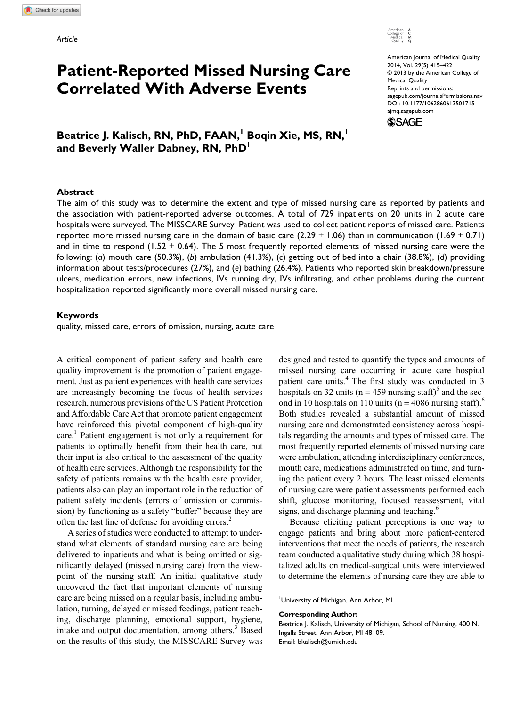# **Patient-Reported Missed Nursing Care Correlated With Adverse Events**

American Journal of Medical Quality 2014, Vol. 29(5) 415–422 © 2013 by the American College of Medical Quality Reprints and permissions: sagepub.com/journalsPermissions.nav DOI: 10.1177/1062860613501715 ajmq.sagepub.com **SSAGE** 

 $\mathsf{B}$ eatrice J. Kalisch, RN, PhD, FAAN, Boqin Xie, MS, RN, <sup>1</sup> and Beverly Waller Dabney, RN, PhD<sup>1</sup>

#### **Abstract**

The aim of this study was to determine the extent and type of missed nursing care as reported by patients and the association with patient-reported adverse outcomes. A total of 729 inpatients on 20 units in 2 acute care hospitals were surveyed. The MISSCARE Survey–Patient was used to collect patient reports of missed care. Patients reported more missed nursing care in the domain of basic care (2.29  $\pm$  1.06) than in communication (1.69  $\pm$  0.71) and in time to respond (1.52  $\pm$  0.64). The 5 most frequently reported elements of missed nursing care were the following: (*a*) mouth care (50.3%), (*b*) ambulation (41.3%), (*c*) getting out of bed into a chair (38.8%), (*d*) providing information about tests/procedures (27%), and (*e*) bathing (26.4%). Patients who reported skin breakdown/pressure ulcers, medication errors, new infections, IVs running dry, IVs infiltrating, and other problems during the current hospitalization reported significantly more overall missed nursing care.

### **Keywords**

quality, missed care, errors of omission, nursing, acute care

A critical component of patient safety and health care quality improvement is the promotion of patient engagement. Just as patient experiences with health care services are increasingly becoming the focus of health services research, numerous provisions of the US Patient Protection and Affordable Care Act that promote patient engagement have reinforced this pivotal component of high-quality care.<sup>1</sup> Patient engagement is not only a requirement for patients to optimally benefit from their health care, but their input is also critical to the assessment of the quality of health care services. Although the responsibility for the safety of patients remains with the health care provider, patients also can play an important role in the reduction of patient safety incidents (errors of omission or commission) by functioning as a safety "buffer" because they are often the last line of defense for avoiding errors.<sup>2</sup>

A series of studies were conducted to attempt to understand what elements of standard nursing care are being delivered to inpatients and what is being omitted or significantly delayed (missed nursing care) from the viewpoint of the nursing staff. An initial qualitative study uncovered the fact that important elements of nursing care are being missed on a regular basis, including ambulation, turning, delayed or missed feedings, patient teaching, discharge planning, emotional support, hygiene, intake and output documentation, among others. $3$  Based on the results of this study, the MISSCARE Survey was

designed and tested to quantify the types and amounts of missed nursing care occurring in acute care hospital patient care units.<sup>4</sup> The first study was conducted in 3 hospitals on 32 units ( $n = 459$  nursing staff)<sup>5</sup> and the second in 10 hospitals on 110 units ( $n = 4086$  nursing staff).<sup>6</sup> Both studies revealed a substantial amount of missed nursing care and demonstrated consistency across hospitals regarding the amounts and types of missed care. The most frequently reported elements of missed nursing care were ambulation, attending interdisciplinary conferences, mouth care, medications administrated on time, and turning the patient every 2 hours. The least missed elements of nursing care were patient assessments performed each shift, glucose monitoring, focused reassessment, vital signs, and discharge planning and teaching.<sup>6</sup>

Because eliciting patient perceptions is one way to engage patients and bring about more patient-centered interventions that meet the needs of patients, the research team conducted a qualitative study during which 38 hospitalized adults on medical-surgical units were interviewed to determine the elements of nursing care they are able to

University of Michigan, Ann Arbor, MI

### **Corresponding Author:**

Beatrice J. Kalisch, University of Michigan, School of Nursing, 400 N. Ingalls Street, Ann Arbor, MI 48109. Email: bkalisch@umich.edu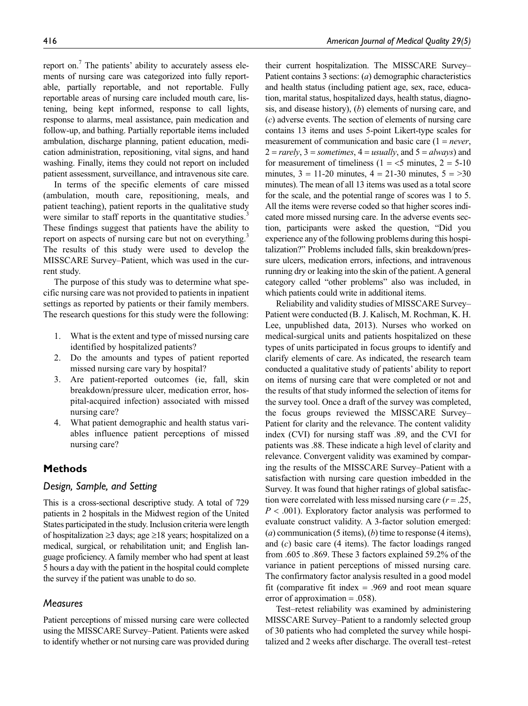report on.<sup>7</sup> The patients' ability to accurately assess elements of nursing care was categorized into fully reportable, partially reportable, and not reportable. Fully reportable areas of nursing care included mouth care, listening, being kept informed, response to call lights, response to alarms, meal assistance, pain medication and follow-up, and bathing. Partially reportable items included ambulation, discharge planning, patient education, medication administration, repositioning, vital signs, and hand washing. Finally, items they could not report on included patient assessment, surveillance, and intravenous site care.

In terms of the specific elements of care missed (ambulation, mouth care, repositioning, meals, and patient teaching), patient reports in the qualitative study were similar to staff reports in the quantitative studies. These findings suggest that patients have the ability to report on aspects of nursing care but not on everything.<sup>3</sup> The results of this study were used to develop the MISSCARE Survey–Patient, which was used in the current study.

The purpose of this study was to determine what specific nursing care was not provided to patients in inpatient settings as reported by patients or their family members. The research questions for this study were the following:

- 1. What is the extent and type of missed nursing care identified by hospitalized patients?
- 2. Do the amounts and types of patient reported missed nursing care vary by hospital?
- 3. Are patient-reported outcomes (ie, fall, skin breakdown/pressure ulcer, medication error, hospital-acquired infection) associated with missed nursing care?
- 4. What patient demographic and health status variables influence patient perceptions of missed nursing care?

# **Methods**

# *Design, Sample, and Setting*

This is a cross-sectional descriptive study. A total of 729 patients in 2 hospitals in the Midwest region of the United States participated in the study. Inclusion criteria were length of hospitalization ≥3 days; age ≥18 years; hospitalized on a medical, surgical, or rehabilitation unit; and English language proficiency. A family member who had spent at least 5 hours a day with the patient in the hospital could complete the survey if the patient was unable to do so.

### *Measures*

Patient perceptions of missed nursing care were collected using the MISSCARE Survey–Patient. Patients were asked to identify whether or not nursing care was provided during their current hospitalization. The MISSCARE Survey– Patient contains 3 sections: (*a*) demographic characteristics and health status (including patient age, sex, race, education, marital status, hospitalized days, health status, diagnosis, and disease history), (*b*) elements of nursing care, and (*c*) adverse events. The section of elements of nursing care contains 13 items and uses 5-point Likert-type scales for measurement of communication and basic care (1 = *never*,  $2 = rarely, 3 = sometimes, 4 = usually, and 5 = always and$ for measurement of timeliness ( $1 = 5$  minutes,  $2 = 5-10$ minutes,  $3 = 11-20$  minutes,  $4 = 21-30$  minutes,  $5 = >30$ minutes). The mean of all 13 items was used as a total score for the scale, and the potential range of scores was 1 to 5. All the items were reverse coded so that higher scores indicated more missed nursing care. In the adverse events section, participants were asked the question, "Did you experience any of the following problems during this hospitalization?" Problems included falls, skin breakdown/pressure ulcers, medication errors, infections, and intravenous running dry or leaking into the skin of the patient. A general category called "other problems" also was included, in which patients could write in additional items.

Reliability and validity studies of MISSCARE Survey– Patient were conducted (B. J. Kalisch, M. Rochman, K. H. Lee, unpublished data, 2013). Nurses who worked on medical-surgical units and patients hospitalized on these types of units participated in focus groups to identify and clarify elements of care. As indicated, the research team conducted a qualitative study of patients' ability to report on items of nursing care that were completed or not and the results of that study informed the selection of items for the survey tool. Once a draft of the survey was completed, the focus groups reviewed the MISSCARE Survey– Patient for clarity and the relevance. The content validity index (CVI) for nursing staff was .89, and the CVI for patients was .88. These indicate a high level of clarity and relevance. Convergent validity was examined by comparing the results of the MISSCARE Survey–Patient with a satisfaction with nursing care question imbedded in the Survey. It was found that higher ratings of global satisfaction were correlated with less missed nursing care (*r* = .25, *P* < .001). Exploratory factor analysis was performed to evaluate construct validity. A 3-factor solution emerged: (*a*) communication (5 items), (*b*) time to response (4 items), and (*c*) basic care (4 items). The factor loadings ranged from .605 to .869. These 3 factors explained 59.2% of the variance in patient perceptions of missed nursing care. The confirmatory factor analysis resulted in a good model fit (comparative fit index  $= .969$  and root mean square error of approximation  $= .058$ ).

Test–retest reliability was examined by administering MISSCARE Survey–Patient to a randomly selected group of 30 patients who had completed the survey while hospitalized and 2 weeks after discharge. The overall test–retest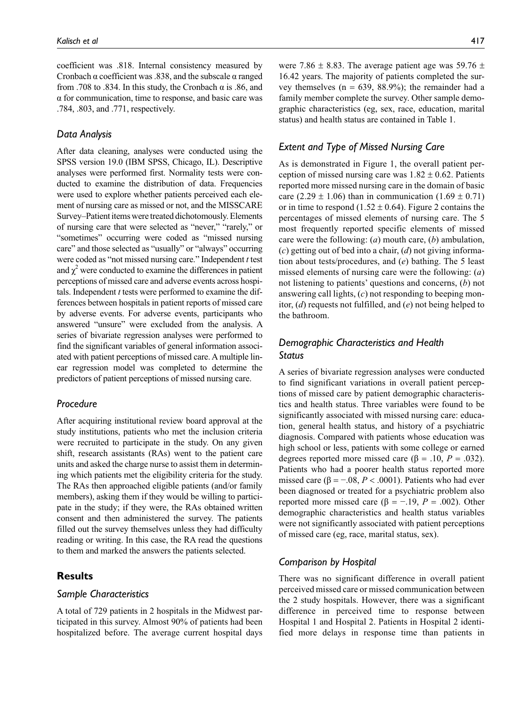coefficient was .818. Internal consistency measured by Cronbach  $\alpha$  coefficient was .838, and the subscale  $\alpha$  ranged from .708 to .834. In this study, the Cronbach  $\alpha$  is .86, and α for communication, time to response, and basic care was .784, .803, and .771, respectively.

### *Data Analysis*

After data cleaning, analyses were conducted using the SPSS version 19.0 (IBM SPSS, Chicago, IL). Descriptive analyses were performed first. Normality tests were conducted to examine the distribution of data. Frequencies were used to explore whether patients perceived each element of nursing care as missed or not, and the MISSCARE Survey–Patient items were treated dichotomously. Elements of nursing care that were selected as "never," "rarely," or "sometimes" occurring were coded as "missed nursing care" and those selected as "usually" or "always" occurring were coded as "not missed nursing care." Independent *t* test and  $\chi^2$  were conducted to examine the differences in patient perceptions of missed care and adverse events across hospitals. Independent *t* tests were performed to examine the differences between hospitals in patient reports of missed care by adverse events. For adverse events, participants who answered "unsure" were excluded from the analysis. A series of bivariate regression analyses were performed to find the significant variables of general information associated with patient perceptions of missed care. A multiple linear regression model was completed to determine the predictors of patient perceptions of missed nursing care.

### *Procedure*

After acquiring institutional review board approval at the study institutions, patients who met the inclusion criteria were recruited to participate in the study. On any given shift, research assistants (RAs) went to the patient care units and asked the charge nurse to assist them in determining which patients met the eligibility criteria for the study. The RAs then approached eligible patients (and/or family members), asking them if they would be willing to participate in the study; if they were, the RAs obtained written consent and then administered the survey. The patients filled out the survey themselves unless they had difficulty reading or writing. In this case, the RA read the questions to them and marked the answers the patients selected.

# **Results**

### *Sample Characteristics*

A total of 729 patients in 2 hospitals in the Midwest participated in this survey. Almost 90% of patients had been hospitalized before. The average current hospital days were 7.86  $\pm$  8.83. The average patient age was 59.76  $\pm$ 16.42 years. The majority of patients completed the survey themselves  $(n = 639, 88.9\%)$ ; the remainder had a family member complete the survey. Other sample demographic characteristics (eg, sex, race, education, marital status) and health status are contained in Table 1.

# *Extent and Type of Missed Nursing Care*

As is demonstrated in Figure 1, the overall patient perception of missed nursing care was  $1.82 \pm 0.62$ . Patients reported more missed nursing care in the domain of basic care (2.29  $\pm$  1.06) than in communication (1.69  $\pm$  0.71) or in time to respond (1.52  $\pm$  0.64). Figure 2 contains the percentages of missed elements of nursing care. The 5 most frequently reported specific elements of missed care were the following: (*a*) mouth care, (*b*) ambulation, (*c*) getting out of bed into a chair, (*d*) not giving information about tests/procedures, and (*e*) bathing. The 5 least missed elements of nursing care were the following: (*a*) not listening to patients' questions and concerns, (*b*) not answering call lights, (*c*) not responding to beeping monitor, (*d*) requests not fulfilled, and (*e*) not being helped to the bathroom.

# *Demographic Characteristics and Health Status*

A series of bivariate regression analyses were conducted to find significant variations in overall patient perceptions of missed care by patient demographic characteristics and health status. Three variables were found to be significantly associated with missed nursing care: education, general health status, and history of a psychiatric diagnosis. Compared with patients whose education was high school or less, patients with some college or earned degrees reported more missed care (β = .10,  $P = .032$ ). Patients who had a poorer health status reported more missed care (β = −.08, *P* < .0001). Patients who had ever been diagnosed or treated for a psychiatric problem also reported more missed care (β =  $-$ .19, *P* = .002). Other demographic characteristics and health status variables were not significantly associated with patient perceptions of missed care (eg, race, marital status, sex).

# *Comparison by Hospital*

There was no significant difference in overall patient perceived missed care or missed communication between the 2 study hospitals. However, there was a significant difference in perceived time to response between Hospital 1 and Hospital 2. Patients in Hospital 2 identified more delays in response time than patients in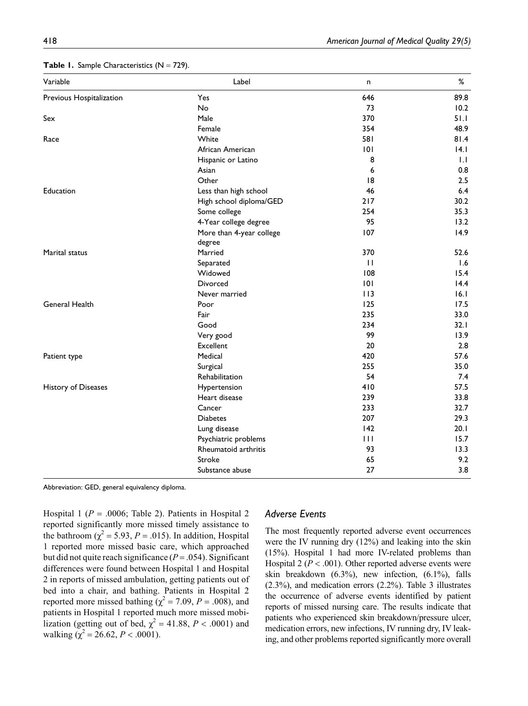| Variable                 | Label                    | n            | %    |
|--------------------------|--------------------------|--------------|------|
| Previous Hospitalization | Yes                      | 646          | 89.8 |
|                          | No                       | 73           | 10.2 |
| ${\sf Sex}$              | Male                     | 370          | 51.1 |
|                          | Female                   | 354          | 48.9 |
| Race                     | White                    | 581          | 81.4 |
|                          | African American         | 0            | 4.1  |
|                          | Hispanic or Latino       | 8            | 1.1  |
|                          | Asian                    | 6            | 0.8  |
|                          | Other                    | 8            | 2.5  |
| Education                | Less than high school    | 46           | 6.4  |
|                          | High school diploma/GED  | 217          | 30.2 |
|                          | Some college             | 254          | 35.3 |
|                          | 4-Year college degree    | 95           | 13.2 |
|                          | More than 4-year college | 107          | 14.9 |
|                          | degree                   |              |      |
| Marital status           | Married                  | 370          | 52.6 |
|                          | Separated                | $\mathbf{H}$ | 1.6  |
|                          | Widowed                  | 108          | 15.4 |
|                          | <b>Divorced</b>          | 0            | 14.4 |
|                          | Never married            | 113          | 6.1  |
| General Health           | Poor                     | 125          | 17.5 |
|                          | Fair                     | 235          | 33.0 |
|                          | Good                     | 234          | 32.1 |
|                          | Very good                | 99           | 13.9 |
|                          | Excellent                | 20           | 2.8  |
| Patient type             | Medical                  | 420          | 57.6 |
|                          | Surgical                 | 255          | 35.0 |
|                          | Rehabilitation           | 54           | 7.4  |
| History of Diseases      | Hypertension             | 410          | 57.5 |
|                          | Heart disease            | 239          | 33.8 |
|                          | Cancer                   | 233          | 32.7 |
|                          | <b>Diabetes</b>          | 207          | 29.3 |
|                          | Lung disease             | 142          | 20.1 |
|                          | Psychiatric problems     | 111          | 15.7 |
|                          | Rheumatoid arthritis     | 93           | 13.3 |
|                          | Stroke                   | 65           | 9.2  |
|                          | Substance abuse          | 27           | 3.8  |

|  |  | <b>Table 1.</b> Sample Characteristics ( $N = 729$ ). |  |  |
|--|--|-------------------------------------------------------|--|--|
|--|--|-------------------------------------------------------|--|--|

Abbreviation: GED, general equivalency diploma.

Hospital 1 ( $P = .0006$ ; Table 2). Patients in Hospital 2 reported significantly more missed timely assistance to the bathroom ( $\chi^2$  = 5.93, *P* = .015). In addition, Hospital 1 reported more missed basic care, which approached but did not quite reach significance  $(P = .054)$ . Significant differences were found between Hospital 1 and Hospital 2 in reports of missed ambulation, getting patients out of bed into a chair, and bathing. Patients in Hospital 2 reported more missed bathing ( $\chi^2$  = 7.09, *P* = .008), and patients in Hospital 1 reported much more missed mobilization (getting out of bed,  $\chi^2 = 41.88$ ,  $P < .0001$ ) and walking ( $\chi^2$  = 26.62, *P* < .0001).

# *Adverse Events*

The most frequently reported adverse event occurrences were the IV running dry (12%) and leaking into the skin (15%). Hospital 1 had more IV-related problems than Hospital 2 (*P* < .001). Other reported adverse events were skin breakdown (6.3%), new infection, (6.1%), falls (2.3%), and medication errors (2.2%). Table 3 illustrates the occurrence of adverse events identified by patient reports of missed nursing care. The results indicate that patients who experienced skin breakdown/pressure ulcer, medication errors, new infections, IV running dry, IV leaking, and other problems reported significantly more overall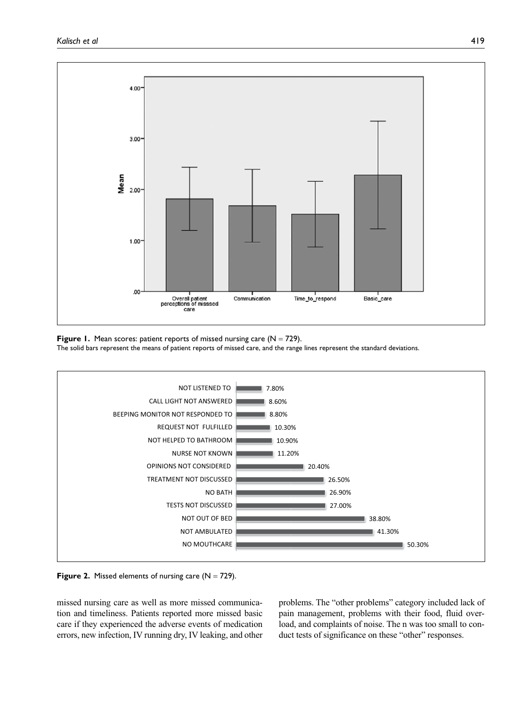

**Figure 1.** Mean scores: patient reports of missed nursing care  $(N = 729)$ . The solid bars represent the means of patient reports of missed care, and the range lines represent the standard deviations.



**Figure 2.** Missed elements of nursing care  $(N = 729)$ .

missed nursing care as well as more missed communication and timeliness. Patients reported more missed basic care if they experienced the adverse events of medication errors, new infection, IV running dry, IV leaking, and other problems. The "other problems" category included lack of pain management, problems with their food, fluid overload, and complaints of noise. The n was too small to conduct tests of significance on these "other" responses.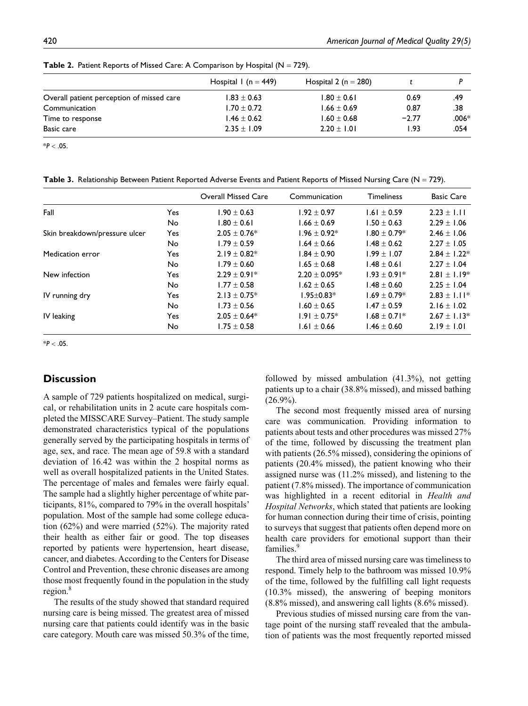|                                           | Hospital 1 (n = $449$ ) | Hospital 2 ( $n = 280$ ) |         |         |
|-------------------------------------------|-------------------------|--------------------------|---------|---------|
| Overall patient perception of missed care | $1.83 \pm 0.63$         | $1.80 \pm 0.61$          | 0.69    | .49     |
| Communication                             | $1.70 \pm 0.72$         | $1.66 \pm 0.69$          | 0.87    | .38     |
| Time to response                          | $1.46 \pm 0.62$         | $1.60 \pm 0.68$          | $-2.77$ | $.006*$ |
| Basic care                                | $2.35 \pm 1.09$         | $2.20 \pm 1.01$          | I.93    | .054    |

**Table 2.** Patient Reports of Missed Care: A Comparison by Hospital ( $N = 729$ ).

\**P* < .05.

Table 3. Relationship Between Patient Reported Adverse Events and Patient Reports of Missed Nursing Care (N = 729).

|                               |     | <b>Overall Missed Care</b> | Communication     | <b>Timeliness</b> | <b>Basic Care</b> |
|-------------------------------|-----|----------------------------|-------------------|-------------------|-------------------|
| Fall                          | Yes | $1.90 \pm 0.63$            | $1.92 \pm 0.97$   | $1.61 \pm 0.59$   | $2.23 \pm 1.11$   |
|                               | No  | $1.80 \pm 0.61$            | $1.66 \pm 0.69$   | $1.50 \pm 0.63$   | $2.29 \pm 1.06$   |
| Skin breakdown/pressure ulcer | Yes | $2.05 \pm 0.76*$           | $1.96 \pm 0.92*$  | $1.80 \pm 0.79*$  | $2.46 \pm 1.06$   |
|                               | No  | $1.79 \pm 0.59$            | $1.64 \pm 0.66$   | $1.48 \pm 0.62$   | $2.27 \pm 1.05$   |
| Medication error              | Yes | $2.19 \pm 0.82*$           | $1.84 \pm 0.90$   | $1.99 \pm 1.07$   | $2.84 \pm 1.22*$  |
|                               | No  | $1.79 \pm 0.60$            | $1.65 \pm 0.68$   | $1.48 \pm 0.61$   | $2.27 \pm 1.04$   |
| New infection                 | Yes | $2.29 \pm 0.91*$           | $2.20 \pm 0.095*$ | $1.93 \pm 0.91*$  | $2.81 \pm 1.19*$  |
|                               | No  | $1.77 \pm 0.58$            | $1.62 \pm 0.65$   | $1.48 \pm 0.60$   | $2.25 \pm 1.04$   |
| IV running dry                | Yes | $2.13 \pm 0.75*$           | $1.95 \pm 0.83*$  | $1.69 \pm 0.79*$  | $2.83 \pm 1.11*$  |
|                               | No  | $1.73 \pm 0.56$            | $1.60 \pm 0.65$   | $1.47 \pm 0.59$   | 2.16 $\pm$ 1.02   |
| IV leaking                    | Yes | $2.05 \pm 0.64*$           | $1.91 \pm 0.75*$  | $1.68 \pm 0.71*$  | $2.67 \pm 1.13*$  |
|                               | No  | $1.75 \pm 0.58$            | $1.61 \pm 0.66$   | $1.46 \pm 0.60$   | $2.19 \pm 1.01$   |

\**P* < .05.

### **Discussion**

A sample of 729 patients hospitalized on medical, surgical, or rehabilitation units in 2 acute care hospitals completed the MISSCARE Survey–Patient. The study sample demonstrated characteristics typical of the populations generally served by the participating hospitals in terms of age, sex, and race. The mean age of 59.8 with a standard deviation of 16.42 was within the 2 hospital norms as well as overall hospitalized patients in the United States. The percentage of males and females were fairly equal. The sample had a slightly higher percentage of white participants, 81%, compared to 79% in the overall hospitals' population. Most of the sample had some college education (62%) and were married (52%). The majority rated their health as either fair or good. The top diseases reported by patients were hypertension, heart disease, cancer, and diabetes. According to the Centers for Disease Control and Prevention, these chronic diseases are among those most frequently found in the population in the study region.<sup>8</sup>

The results of the study showed that standard required nursing care is being missed. The greatest area of missed nursing care that patients could identify was in the basic care category. Mouth care was missed 50.3% of the time,

followed by missed ambulation (41.3%), not getting patients up to a chair (38.8% missed), and missed bathing  $(26.9\%)$ .

The second most frequently missed area of nursing care was communication. Providing information to patients about tests and other procedures was missed 27% of the time, followed by discussing the treatment plan with patients (26.5% missed), considering the opinions of patients (20.4% missed), the patient knowing who their assigned nurse was (11.2% missed), and listening to the patient (7.8% missed). The importance of communication was highlighted in a recent editorial in *Health and Hospital Networks*, which stated that patients are looking for human connection during their time of crisis, pointing to surveys that suggest that patients often depend more on health care providers for emotional support than their families.<sup>9</sup>

The third area of missed nursing care was timeliness to respond. Timely help to the bathroom was missed 10.9% of the time, followed by the fulfilling call light requests (10.3% missed), the answering of beeping monitors (8.8% missed), and answering call lights (8.6% missed).

Previous studies of missed nursing care from the vantage point of the nursing staff revealed that the ambulation of patients was the most frequently reported missed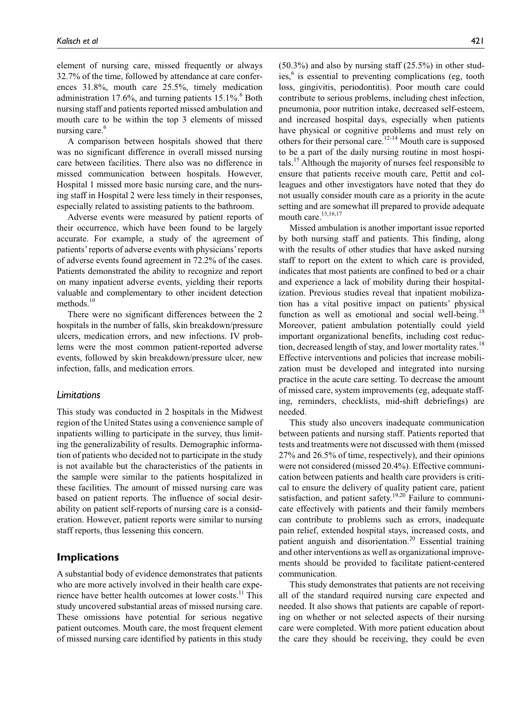element of nursing care, missed frequently or always 32.7% of the time, followed by attendance at care conferences 31.8%, mouth care 25.5%, timely medication administration  $17.6\%$ , and turning patients  $15.1\%$ . Both nursing staff and patients reported missed ambulation and mouth care to be within the top 3 elements of missed nursing care.<sup>6</sup>

A comparison between hospitals showed that there was no significant difference in overall missed nursing care between facilities. There also was no difference in missed communication between hospitals. However, Hospital 1 missed more basic nursing care, and the nursing staff in Hospital 2 were less timely in their responses, especially related to assisting patients to the bathroom.

Adverse events were measured by patient reports of their occurrence, which have been found to be largely accurate. For example, a study of the agreement of patients' reports of adverse events with physicians' reports of adverse events found agreement in 72.2% of the cases. Patients demonstrated the ability to recognize and report on many inpatient adverse events, yielding their reports valuable and complementary to other incident detection methods.<sup>10</sup>

There were no significant differences between the 2 hospitals in the number of falls, skin breakdown/pressure ulcers, medication errors, and new infections. IV problems were the most common patient-reported adverse events, followed by skin breakdown/pressure ulcer, new infection, falls, and medication errors.

### *Limitations*

This study was conducted in 2 hospitals in the Midwest region of the United States using a convenience sample of inpatients willing to participate in the survey, thus limiting the generalizability of results. Demographic information of patients who decided not to participate in the study is not available but the characteristics of the patients in the sample were similar to the patients hospitalized in these facilities. The amount of missed nursing care was based on patient reports. The influence of social desirability on patient self-reports of nursing care is a consideration. However, patient reports were similar to nursing staff reports, thus lessening this concern.

# **Implications**

A substantial body of evidence demonstrates that patients who are more actively involved in their health care experience have better health outcomes at lower costs.<sup>11</sup> This study uncovered substantial areas of missed nursing care. These omissions have potential for serious negative patient outcomes. Mouth care, the most frequent element of missed nursing care identified by patients in this study

(50.3%) and also by nursing staff (25.5%) in other studies,<sup>6</sup> is essential to preventing complications (eg, tooth loss, gingivitis, periodontitis). Poor mouth care could contribute to serious problems, including chest infection, pneumonia, poor nutrition intake, decreased self-esteem, and increased hospital days, especially when patients have physical or cognitive problems and must rely on others for their personal care.<sup>12-14</sup> Mouth care is supposed to be a part of the daily nursing routine in most hospitals.<sup>15</sup> Although the majority of nurses feel responsible to ensure that patients receive mouth care, Pettit and colleagues and other investigators have noted that they do not usually consider mouth care as a priority in the acute setting and are somewhat ill prepared to provide adequate mouth care.<sup>13,16,17</sup>

Missed ambulation is another important issue reported by both nursing staff and patients. This finding, along with the results of other studies that have asked nursing staff to report on the extent to which care is provided, indicates that most patients are confined to bed or a chair and experience a lack of mobility during their hospitalization. Previous studies reveal that inpatient mobilization has a vital positive impact on patients' physical function as well as emotional and social well-being.<sup>18</sup> Moreover, patient ambulation potentially could yield important organizational benefits, including cost reduction, decreased length of stay, and lower mortality rates.<sup>18</sup> Effective interventions and policies that increase mobilization must be developed and integrated into nursing practice in the acute care setting. To decrease the amount of missed care, system improvements (eg, adequate staffing, reminders, checklists, mid-shift debriefings) are needed.

This study also uncovers inadequate communication between patients and nursing staff. Patients reported that tests and treatments were not discussed with them (missed 27% and 26.5% of time, respectively), and their opinions were not considered (missed 20.4%). Effective communication between patients and health care providers is critical to ensure the delivery of quality patient care, patient satisfaction, and patient safety.<sup>19,20</sup> Failure to communicate effectively with patients and their family members can contribute to problems such as errors, inadequate pain relief, extended hospital stays, increased costs, and patient anguish and disorientation.<sup>20</sup> Essential training and other interventions as well as organizational improvements should be provided to facilitate patient-centered communication.

This study demonstrates that patients are not receiving all of the standard required nursing care expected and needed. It also shows that patients are capable of reporting on whether or not selected aspects of their nursing care were completed. With more patient education about the care they should be receiving, they could be even